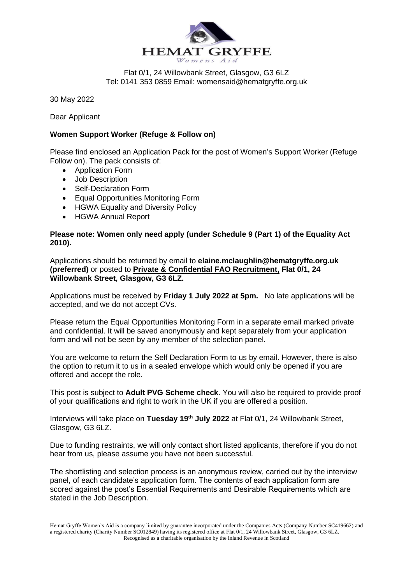

Flat 0/1, 24 Willowbank Street, Glasgow, G3 6LZ Tel: 0141 353 0859 Email: womensaid@hematgryffe.org.uk

30 May 2022

Dear Applicant

## **Women Support Worker (Refuge & Follow on)**

Please find enclosed an Application Pack for the post of Women's Support Worker (Refuge Follow on). The pack consists of:

- Application Form
- Job Description
- Self-Declaration Form
- Equal Opportunities Monitoring Form
- HGWA Equality and Diversity Policy
- HGWA Annual Report

## **Please note: Women only need apply (under Schedule 9 (Part 1) of the Equality Act 2010).**

Applications should be returned by email to **elaine.mclaughlin@hematgryffe.org.uk (preferred)** or posted to **Private & Confidential FAO Recruitment, Flat 0/1, 24 Willowbank Street, Glasgow, G3 6LZ.**

Applications must be received by **Friday 1 July 2022 at 5pm.** No late applications will be accepted, and we do not accept CVs.

Please return the Equal Opportunities Monitoring Form in a separate email marked private and confidential. It will be saved anonymously and kept separately from your application form and will not be seen by any member of the selection panel.

You are welcome to return the Self Declaration Form to us by email. However, there is also the option to return it to us in a sealed envelope which would only be opened if you are offered and accept the role.

This post is subject to **Adult PVG Scheme check**. You will also be required to provide proof of your qualifications and right to work in the UK if you are offered a position.

Interviews will take place on **Tuesday 19th July 2022** at Flat 0/1, 24 Willowbank Street, Glasgow, G3 6LZ.

Due to funding restraints, we will only contact short listed applicants, therefore if you do not hear from us, please assume you have not been successful.

The shortlisting and selection process is an anonymous review, carried out by the interview panel, of each candidate's application form. The contents of each application form are scored against the post's Essential Requirements and Desirable Requirements which are stated in the Job Description.

Hemat Gryffe Women's Aid is a company limited by guarantee incorporated under the Companies Acts (Company Number SC419662) and a registered charity (Charity Number SC012849) having its registered office at Flat 0/1, 24 Willowbank Street, Glasgow, G3 6LZ. Recognised as a charitable organisation by the Inland Revenue in Scotland